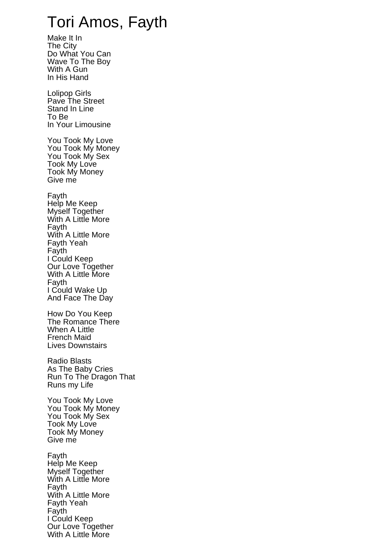## Tori Amos, Fayth

Make It In The City Do What You Can Wave To The Boy With A Gun In His Hand Lolipop Girls Pave The Street Stand In Line To Be In Your Limousine You Took My Love You Took My Money You Took My Sex Took My Love Took My Money Give me Fayth Help Me Keep Myself Together With A Little More Fayth With A Little More Fayth Yeah Fayth I Could Keep Our Love Together With A Little More Fayth I Could Wake Up And Face The Day How Do You Keep The Romance There When A Little French Maid Lives Downstairs Radio Blasts As The Baby Cries Run To The Dragon That Runs my Life You Took My Love You Took My Money You Took My Sex Took My Love Took My Money Give me Fayth Help Me Keep Myself Together With A Little More Fayth With A Little More Fayth Yeah Fayth I Could Keep Our Love Together

With A Little More